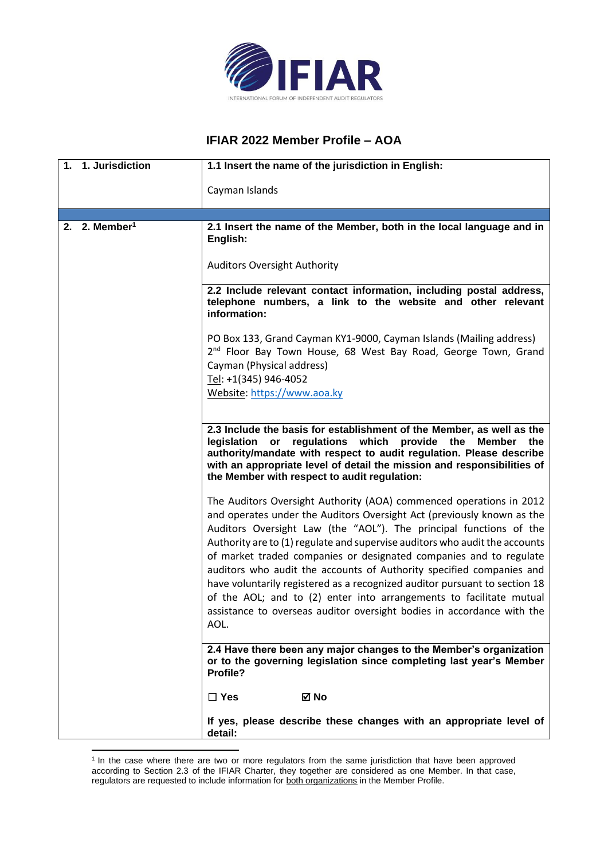

## **IFIAR 2022 Member Profile – AOA**

| 1. 1. Jurisdiction        | 1.1 Insert the name of the jurisdiction in English:                                                                                                                                                                                                                                                                                                                                                                                                                                                                                                                                                                                                                                     |
|---------------------------|-----------------------------------------------------------------------------------------------------------------------------------------------------------------------------------------------------------------------------------------------------------------------------------------------------------------------------------------------------------------------------------------------------------------------------------------------------------------------------------------------------------------------------------------------------------------------------------------------------------------------------------------------------------------------------------------|
|                           | Cayman Islands                                                                                                                                                                                                                                                                                                                                                                                                                                                                                                                                                                                                                                                                          |
|                           |                                                                                                                                                                                                                                                                                                                                                                                                                                                                                                                                                                                                                                                                                         |
| 2. 2. Member <sup>1</sup> | 2.1 Insert the name of the Member, both in the local language and in<br>English:                                                                                                                                                                                                                                                                                                                                                                                                                                                                                                                                                                                                        |
|                           | <b>Auditors Oversight Authority</b>                                                                                                                                                                                                                                                                                                                                                                                                                                                                                                                                                                                                                                                     |
|                           | 2.2 Include relevant contact information, including postal address,<br>telephone numbers, a link to the website and other relevant<br>information:                                                                                                                                                                                                                                                                                                                                                                                                                                                                                                                                      |
|                           | PO Box 133, Grand Cayman KY1-9000, Cayman Islands (Mailing address)                                                                                                                                                                                                                                                                                                                                                                                                                                                                                                                                                                                                                     |
|                           | 2 <sup>nd</sup> Floor Bay Town House, 68 West Bay Road, George Town, Grand                                                                                                                                                                                                                                                                                                                                                                                                                                                                                                                                                                                                              |
|                           | Cayman (Physical address)                                                                                                                                                                                                                                                                                                                                                                                                                                                                                                                                                                                                                                                               |
|                           | Tel: +1(345) 946-4052                                                                                                                                                                                                                                                                                                                                                                                                                                                                                                                                                                                                                                                                   |
|                           | Website: https://www.aoa.ky                                                                                                                                                                                                                                                                                                                                                                                                                                                                                                                                                                                                                                                             |
|                           |                                                                                                                                                                                                                                                                                                                                                                                                                                                                                                                                                                                                                                                                                         |
|                           | 2.3 Include the basis for establishment of the Member, as well as the<br>legislation<br>regulations which<br>provide the<br><b>Member</b><br>$\mathsf{or}$<br>the<br>authority/mandate with respect to audit regulation. Please describe<br>with an appropriate level of detail the mission and responsibilities of<br>the Member with respect to audit regulation:                                                                                                                                                                                                                                                                                                                     |
|                           | The Auditors Oversight Authority (AOA) commenced operations in 2012<br>and operates under the Auditors Oversight Act (previously known as the<br>Auditors Oversight Law (the "AOL"). The principal functions of the<br>Authority are to (1) regulate and supervise auditors who audit the accounts<br>of market traded companies or designated companies and to regulate<br>auditors who audit the accounts of Authority specified companies and<br>have voluntarily registered as a recognized auditor pursuant to section 18<br>of the AOL; and to (2) enter into arrangements to facilitate mutual<br>assistance to overseas auditor oversight bodies in accordance with the<br>AOL. |
|                           | 2.4 Have there been any major changes to the Member's organization<br>or to the governing legislation since completing last year's Member<br>Profile?                                                                                                                                                                                                                                                                                                                                                                                                                                                                                                                                   |
|                           | $\Box$ Yes<br>⊠ No                                                                                                                                                                                                                                                                                                                                                                                                                                                                                                                                                                                                                                                                      |
|                           | If yes, please describe these changes with an appropriate level of<br>detail:                                                                                                                                                                                                                                                                                                                                                                                                                                                                                                                                                                                                           |

<sup>&</sup>lt;sup>1</sup> In the case where there are two or more regulators from the same jurisdiction that have been approved according to Section 2.3 of the IFIAR Charter, they together are considered as one Member. In that case, regulators are requested to include information for both organizations in the Member Profile.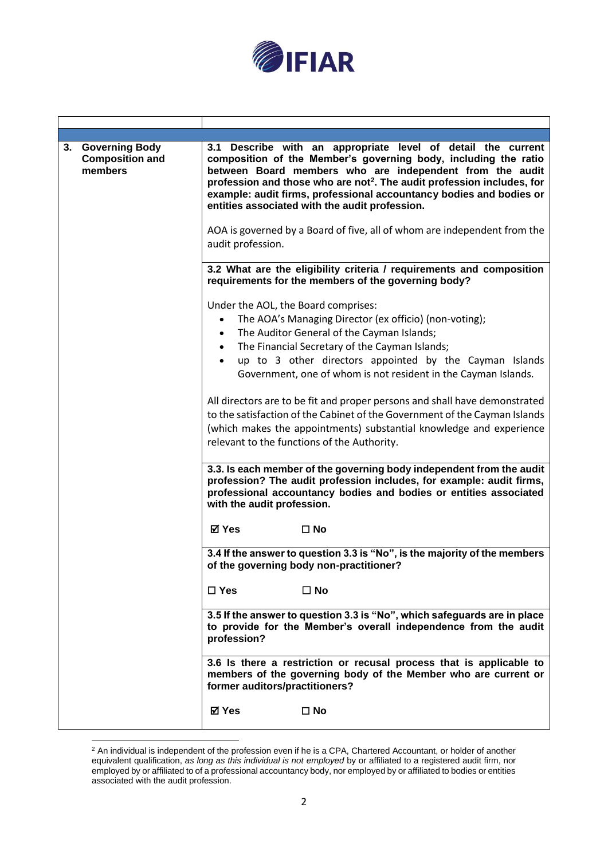

 $\mathsf{l}$ 

Г

| 3. | <b>Governing Body</b><br><b>Composition and</b><br>members | 3.1 Describe with an appropriate level of detail the current<br>composition of the Member's governing body, including the ratio<br>between Board members who are independent from the audit<br>profession and those who are not <sup>2</sup> . The audit profession includes, for<br>example: audit firms, professional accountancy bodies and bodies or<br>entities associated with the audit profession.<br>AOA is governed by a Board of five, all of whom are independent from the<br>audit profession.                       |
|----|------------------------------------------------------------|-----------------------------------------------------------------------------------------------------------------------------------------------------------------------------------------------------------------------------------------------------------------------------------------------------------------------------------------------------------------------------------------------------------------------------------------------------------------------------------------------------------------------------------|
|    |                                                            | 3.2 What are the eligibility criteria / requirements and composition<br>requirements for the members of the governing body?<br>Under the AOL, the Board comprises:<br>The AOA's Managing Director (ex officio) (non-voting);<br>$\bullet$<br>The Auditor General of the Cayman Islands;<br>$\bullet$<br>The Financial Secretary of the Cayman Islands;<br>$\bullet$<br>up to 3 other directors appointed by the Cayman Islands<br>$\bullet$<br>Government, one of whom is not resident in the Cayman Islands.                     |
|    |                                                            | All directors are to be fit and proper persons and shall have demonstrated<br>to the satisfaction of the Cabinet of the Government of the Cayman Islands<br>(which makes the appointments) substantial knowledge and experience<br>relevant to the functions of the Authority.<br>3.3. Is each member of the governing body independent from the audit<br>profession? The audit profession includes, for example: audit firms,<br>professional accountancy bodies and bodies or entities associated<br>with the audit profession. |
|    |                                                            | $\square$ No<br>⊠ Yes<br>3.4 If the answer to question 3.3 is "No", is the majority of the members<br>of the governing body non-practitioner?<br>$\square$ Yes                                                                                                                                                                                                                                                                                                                                                                    |
|    |                                                            | $\Box$ No<br>3.5 If the answer to question 3.3 is "No", which safeguards are in place<br>to provide for the Member's overall independence from the audit<br>profession?                                                                                                                                                                                                                                                                                                                                                           |
|    |                                                            | 3.6 Is there a restriction or recusal process that is applicable to<br>members of the governing body of the Member who are current or<br>former auditors/practitioners?<br>☑ Yes<br>$\square$ No                                                                                                                                                                                                                                                                                                                                  |

 $2$  An individual is independent of the profession even if he is a CPA, Chartered Accountant, or holder of another equivalent qualification, *as long as this individual is not employed* by or affiliated to a registered audit firm, nor employed by or affiliated to of a professional accountancy body, nor employed by or affiliated to bodies or entities associated with the audit profession.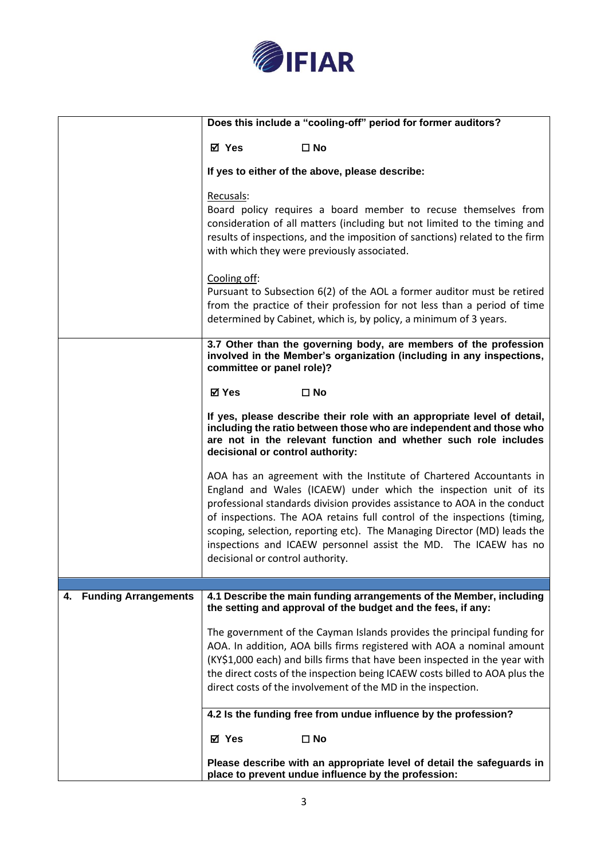

|                                   | Does this include a "cooling-off" period for former auditors?                                                                                                                                                                                                                                                                                                                                                                                                                       |
|-----------------------------------|-------------------------------------------------------------------------------------------------------------------------------------------------------------------------------------------------------------------------------------------------------------------------------------------------------------------------------------------------------------------------------------------------------------------------------------------------------------------------------------|
|                                   | $\square$ No<br>⊠ Yes                                                                                                                                                                                                                                                                                                                                                                                                                                                               |
|                                   | If yes to either of the above, please describe:                                                                                                                                                                                                                                                                                                                                                                                                                                     |
|                                   | Recusals:<br>Board policy requires a board member to recuse themselves from<br>consideration of all matters (including but not limited to the timing and<br>results of inspections, and the imposition of sanctions) related to the firm<br>with which they were previously associated.                                                                                                                                                                                             |
|                                   | Cooling off:<br>Pursuant to Subsection 6(2) of the AOL a former auditor must be retired<br>from the practice of their profession for not less than a period of time<br>determined by Cabinet, which is, by policy, a minimum of 3 years.                                                                                                                                                                                                                                            |
|                                   | 3.7 Other than the governing body, are members of the profession<br>involved in the Member's organization (including in any inspections,<br>committee or panel role)?                                                                                                                                                                                                                                                                                                               |
|                                   | $\square$ No<br>⊠ Yes                                                                                                                                                                                                                                                                                                                                                                                                                                                               |
|                                   | If yes, please describe their role with an appropriate level of detail,<br>including the ratio between those who are independent and those who<br>are not in the relevant function and whether such role includes<br>decisional or control authority:                                                                                                                                                                                                                               |
|                                   | AOA has an agreement with the Institute of Chartered Accountants in<br>England and Wales (ICAEW) under which the inspection unit of its<br>professional standards division provides assistance to AOA in the conduct<br>of inspections. The AOA retains full control of the inspections (timing,<br>scoping, selection, reporting etc). The Managing Director (MD) leads the<br>inspections and ICAEW personnel assist the MD. The ICAEW has no<br>decisional or control authority. |
|                                   |                                                                                                                                                                                                                                                                                                                                                                                                                                                                                     |
| <b>Funding Arrangements</b><br>4. | 4.1 Describe the main funding arrangements of the Member, including<br>the setting and approval of the budget and the fees, if any:                                                                                                                                                                                                                                                                                                                                                 |
|                                   | The government of the Cayman Islands provides the principal funding for<br>AOA. In addition, AOA bills firms registered with AOA a nominal amount<br>(KY\$1,000 each) and bills firms that have been inspected in the year with<br>the direct costs of the inspection being ICAEW costs billed to AOA plus the<br>direct costs of the involvement of the MD in the inspection.                                                                                                      |
|                                   | 4.2 Is the funding free from undue influence by the profession?                                                                                                                                                                                                                                                                                                                                                                                                                     |
|                                   | ⊠ Yes<br>$\square$ No                                                                                                                                                                                                                                                                                                                                                                                                                                                               |
|                                   | Please describe with an appropriate level of detail the safeguards in<br>place to prevent undue influence by the profession:                                                                                                                                                                                                                                                                                                                                                        |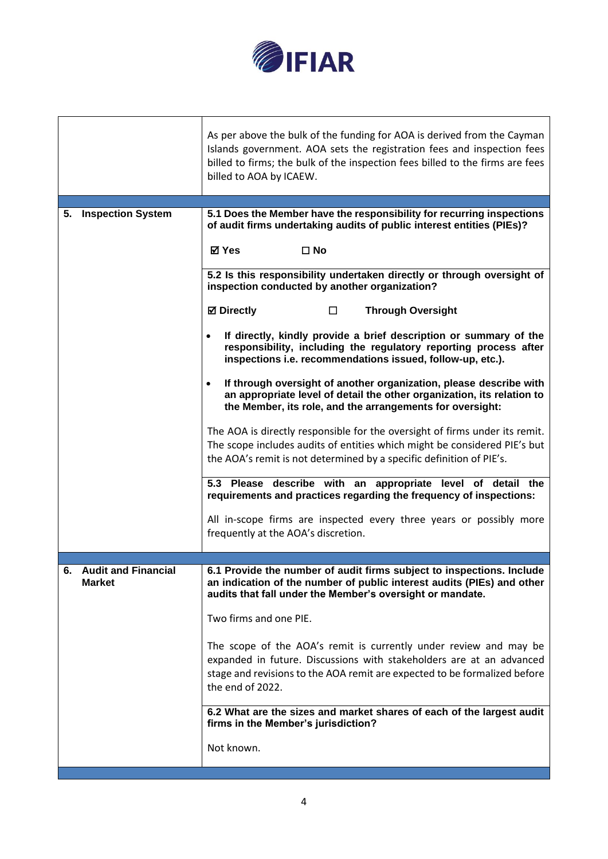

|                                                   | As per above the bulk of the funding for AOA is derived from the Cayman<br>Islands government. AOA sets the registration fees and inspection fees<br>billed to firms; the bulk of the inspection fees billed to the firms are fees<br>billed to AOA by ICAEW. |
|---------------------------------------------------|---------------------------------------------------------------------------------------------------------------------------------------------------------------------------------------------------------------------------------------------------------------|
|                                                   |                                                                                                                                                                                                                                                               |
| <b>Inspection System</b><br>5.                    | 5.1 Does the Member have the responsibility for recurring inspections<br>of audit firms undertaking audits of public interest entities (PIEs)?                                                                                                                |
|                                                   | ⊠ Yes<br>$\square$ No                                                                                                                                                                                                                                         |
|                                                   | 5.2 Is this responsibility undertaken directly or through oversight of<br>inspection conducted by another organization?                                                                                                                                       |
|                                                   | <b>Ø</b> Directly<br>$\Box$<br><b>Through Oversight</b>                                                                                                                                                                                                       |
|                                                   | If directly, kindly provide a brief description or summary of the<br>$\bullet$<br>responsibility, including the regulatory reporting process after<br>inspections i.e. recommendations issued, follow-up, etc.).                                              |
|                                                   | If through oversight of another organization, please describe with<br>an appropriate level of detail the other organization, its relation to<br>the Member, its role, and the arrangements for oversight:                                                     |
|                                                   | The AOA is directly responsible for the oversight of firms under its remit.                                                                                                                                                                                   |
|                                                   | The scope includes audits of entities which might be considered PIE's but<br>the AOA's remit is not determined by a specific definition of PIE's.                                                                                                             |
|                                                   | 5.3 Please describe with an appropriate level of detail the<br>requirements and practices regarding the frequency of inspections:                                                                                                                             |
|                                                   | All in-scope firms are inspected every three years or possibly more<br>frequently at the AOA's discretion.                                                                                                                                                    |
|                                                   |                                                                                                                                                                                                                                                               |
| <b>Audit and Financial</b><br>6.<br><b>Market</b> | 6.1 Provide the number of audit firms subject to inspections. Include<br>an indication of the number of public interest audits (PIEs) and other<br>audits that fall under the Member's oversight or mandate.                                                  |
|                                                   | Two firms and one PIE.                                                                                                                                                                                                                                        |
|                                                   | The scope of the AOA's remit is currently under review and may be<br>expanded in future. Discussions with stakeholders are at an advanced<br>stage and revisions to the AOA remit are expected to be formalized before<br>the end of 2022.                    |
|                                                   | 6.2 What are the sizes and market shares of each of the largest audit<br>firms in the Member's jurisdiction?                                                                                                                                                  |
|                                                   | Not known.                                                                                                                                                                                                                                                    |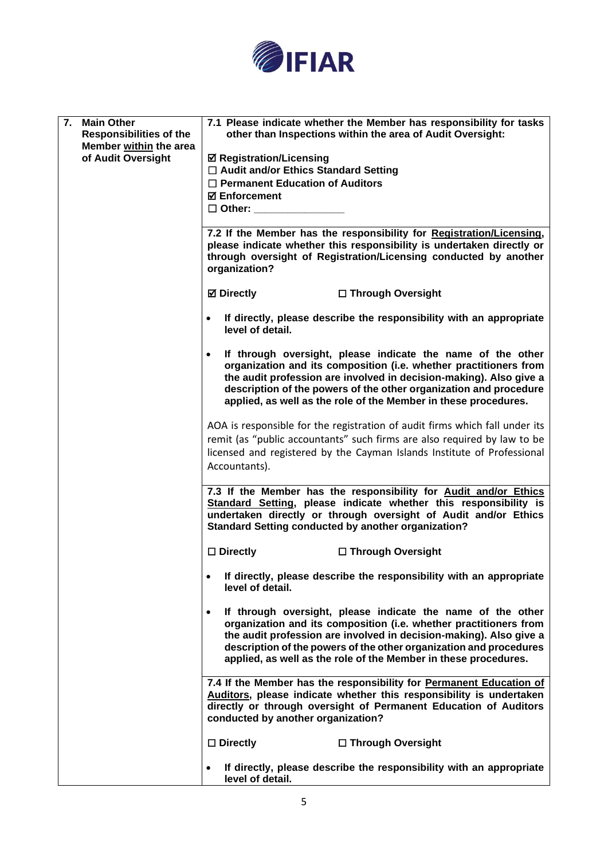

| 7.<br><b>Main Other</b><br><b>Responsibilities of the</b><br>Member within the area<br>of Audit Oversight | 7.1 Please indicate whether the Member has responsibility for tasks<br>other than Inspections within the area of Audit Oversight:<br><b>Ø Registration/Licensing</b><br>$\Box$ Audit and/or Ethics Standard Setting<br>$\Box$ Permanent Education of Auditors<br><b>☑ Enforcement</b><br>$\Box$ Other:<br>7.2 If the Member has the responsibility for Registration/Licensing,<br>please indicate whether this responsibility is undertaken directly or |
|-----------------------------------------------------------------------------------------------------------|---------------------------------------------------------------------------------------------------------------------------------------------------------------------------------------------------------------------------------------------------------------------------------------------------------------------------------------------------------------------------------------------------------------------------------------------------------|
|                                                                                                           | through oversight of Registration/Licensing conducted by another<br>organization?<br><b>Ø</b> Directly<br>□ Through Oversight                                                                                                                                                                                                                                                                                                                           |
|                                                                                                           |                                                                                                                                                                                                                                                                                                                                                                                                                                                         |
|                                                                                                           | If directly, please describe the responsibility with an appropriate<br>$\bullet$<br>level of detail.                                                                                                                                                                                                                                                                                                                                                    |
|                                                                                                           | If through oversight, please indicate the name of the other<br>$\bullet$<br>organization and its composition (i.e. whether practitioners from<br>the audit profession are involved in decision-making). Also give a<br>description of the powers of the other organization and procedure<br>applied, as well as the role of the Member in these procedures.                                                                                             |
|                                                                                                           | AOA is responsible for the registration of audit firms which fall under its<br>remit (as "public accountants" such firms are also required by law to be<br>licensed and registered by the Cayman Islands Institute of Professional<br>Accountants).                                                                                                                                                                                                     |
|                                                                                                           | 7.3 If the Member has the responsibility for Audit and/or Ethics<br>Standard Setting, please indicate whether this responsibility is<br>undertaken directly or through oversight of Audit and/or Ethics<br>Standard Setting conducted by another organization?                                                                                                                                                                                          |
|                                                                                                           | $\square$ Directly<br>□ Through Oversight                                                                                                                                                                                                                                                                                                                                                                                                               |
|                                                                                                           | If directly, please describe the responsibility with an appropriate<br>level of detail.                                                                                                                                                                                                                                                                                                                                                                 |
|                                                                                                           | If through oversight, please indicate the name of the other<br>organization and its composition (i.e. whether practitioners from<br>the audit profession are involved in decision-making). Also give a<br>description of the powers of the other organization and procedures<br>applied, as well as the role of the Member in these procedures.                                                                                                         |
|                                                                                                           | 7.4 If the Member has the responsibility for Permanent Education of<br>Auditors, please indicate whether this responsibility is undertaken<br>directly or through oversight of Permanent Education of Auditors<br>conducted by another organization?                                                                                                                                                                                                    |
|                                                                                                           | $\Box$ Directly<br>□ Through Oversight                                                                                                                                                                                                                                                                                                                                                                                                                  |
|                                                                                                           | If directly, please describe the responsibility with an appropriate<br>level of detail.                                                                                                                                                                                                                                                                                                                                                                 |